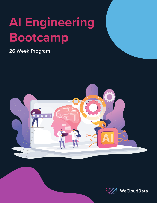# **AI Engineering Bootcamp**

26 Week Program



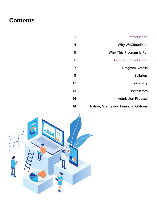# **Contents**

Introduction Why WeCloudData Who This Program Is For Program Introduction Program Details Syllabus Summary Instructors Admission Process Tuition, Grants and Financial Options 3 4 5 6 7 8 12 13 14 14

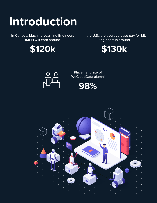# **Introduction**

In Canada, Machine Learning Engineers (MLE) will earn around



In the U.S., the average base pay for ML Engineers is around





Placement rate of WeCloudData alumni



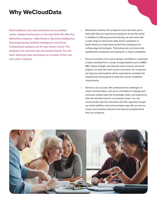# **Why WeCloudData**

WeCloudData is the only bootcamp and accredited career college that focuses on the data field. We offer five distinctive programs - Data Science, Business Intelligence, Data Engineering, Artificial Intelligence, and Cloud Computing to prepare you for your dream career. The programs are instructor-led and project-based. You will learn advanced data techniques at a fraction of the cost from other institutes.

- Relevant to industry: Our programs cover the most up-todate skills that are required by employers across the world. In addition to offering personal training, we also work with a wide range of well-known data-driven companies in North America to help them up-skill their employees for cutting-edge technologies. That being said, we know what qualifications employers are looking for in future candidates.
- Focus on practice: Our course design committee is comprised of data scientists from a range of organizations such as BMO, RBC, Dessa, Google, and Amazon which ensure real-world projects are built into each course curriculum. Our programs are rigorous and students will be expected to complete the assignments and projects to meet the course completion requirements.
- Service is our success: We understand the challenges of career transformation, and we're committed to helping each and every student gain the knowledge, skills, and experience that will help them launch a successful career. You can communicate with the instructors and TA's regularly through our online platform and communication app. We are here to ensure your positive outcome and many accomplishments from our programs.

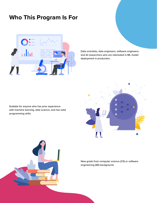# **Who This Program Is For**



Data scientists, data engineers, software engineers, and AI researchers who are interested in ML model deployment in production.

Suitable for anyone who has prior experience with machine learning, data science, and has solid programming skills.





New grads from computer science (CS) or software engineering (SE) background.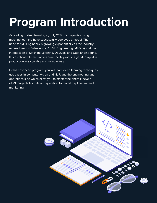# **Program Introduction**

According to deeplearning.ai, only 22% of companies using machine learning have successfully deployed a model. The need for ML Engineers is growing exponentially as the industry moves towards Data-centric AI. ML Engineering (MLOps) is at the intersection of Machine Learning, DevOps, and Data Engineering. It is a critical role that makes sure the AI products get deployed in production in a scalable and reliable way.

In this advanced program, you will learn deep learning techniques, use cases in computer vision and NLP, and the engineering and operations side which allow you to master the entire lifecycle of ML projects from data preparation to model deployment and monitoring.

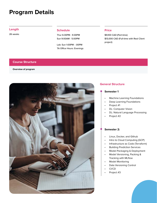# **Program Details**

26 weeks

### **Schedule Length Price**

Thur 6:30PM - 9:30PM Sun 9:00AM - 5:00PM

Lab: Sun 1:00PM - :00PM TA Office Hours: Evenings

\$9,100 CAD (Part-time) \$13,000 CAD (Full-time with Real Client project)

#### **Course Structure**

#### **Overview of program**



#### **General Structure**

#### **Semester 1**

- Machine Learning Foundations
- Deep Learning Foundations
- Project #1
- DL: Computer Vision
- DL: Natural Language Processing
- Project #2

#### **Semester 2:**

- Linux, Docker, and Github
- Intro to Cloud Computing (GCP)
- Infrastructure as Code (Terraform)
- Building Prediction Services
- Model Packaging & Deployment
- Model Versioning, Packing & Tracking with MLflow
- **Model Monitoring**
- Data Versioning Control
- CI/CD
- Project #3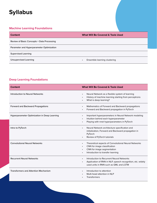# **Syllabus**

### **Machine Learning Foundations**

| <b>Content</b>                             | <b>What Will Be Covered &amp; Tools Used</b> |
|--------------------------------------------|----------------------------------------------|
| Review of Basic Concepts + Data Processing |                                              |
| Parameter and Hyperparameter Optimization  |                                              |
| <b>Supervised Learning</b>                 |                                              |
| Unsupervised Learning                      | Ensemble learning clustering<br>$\bullet$    |

## **Deep Learning Foundations**

| <b>Content</b>                               | <b>What Will Be Covered &amp; Tools Used</b>                                                                                                                                        |
|----------------------------------------------|-------------------------------------------------------------------------------------------------------------------------------------------------------------------------------------|
| <b>Introduction to Neural Networks</b>       | Neural Network as a flexible system of learning<br>$\bullet$<br>History of machine learning starting from perceptrons<br>$\bullet$<br>What is deep learning?                        |
| <b>Forward and Backward Propagations</b>     | Mathematics of Forward and Backward propagations<br>$\bullet$<br>Forward and Backward propagation in PyTorch                                                                        |
| Hyperparameter Optimization in Deep Learning | Important hyperparameters in Neural Network modeling<br>$\bullet$<br>Intuition behind each hyperparameter<br>$\bullet$<br>Playing with nnet hyperparameters in PyTorch<br>$\bullet$ |
| Intro to PyTorch                             | Neural Network architecture specification and<br>$\bullet$<br>initialization, Forward and Backward propagation in<br>PyTorch<br>Review of PyTorch tutorials<br>$\bullet$            |
| <b>Convolutional Neural Networks</b>         | Theoretical aspects of Convolutional Neural Networks<br>$\bullet$<br>CNN for image classification<br>CNN for image segmentation<br>Introduction to transfer learning                |
| <b>Recurrent Neural Networks</b>             | Introduction to Recurrent Neural Networks<br>$\bullet$<br>Application of RNN in NLP, speech recognition, etc. widely<br>$\bullet$<br>used units in RNN such as GML and LSTM         |
| <b>Transformers and Attention Mechanism</b>  | Introduction to attention<br>Multi-head attention in NLP<br><b>Transformers</b>                                                                                                     |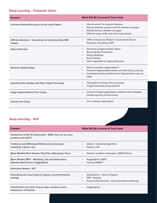## **Deep Learning -- Computer Vision**

| <b>Content</b>                                                  | <b>What Will Be Covered &amp; Tools Used</b>                                                                                                                                     |
|-----------------------------------------------------------------|----------------------------------------------------------------------------------------------------------------------------------------------------------------------------------|
| Literature Review/Discussion on the Latest Papers               | How to search for relevant literature<br>How to evaluate sources and find relevant concepts<br>Identify themes, debates and gaps<br>Different areas of ML and how to get started |
| CNN Architectures + Visualizing and Understanding CNN<br>models | <b>CNN</b> architectures; Modern Convolutional Neural<br>Networks; Visualizing CNN                                                                                               |
| <b>Object Detection</b>                                         | Detecting a single/multiple object<br><b>Bounding Box Predictions</b><br><b>Sliding Windows</b><br><b>Anchor Boxes</b><br><b>YOLO Algorithm for Object Detection</b>             |
| <b>Semantic Segmentation</b>                                    | What is semantic segmentation?<br>Semantic Segmentation before and after Deep Learning<br>Constitutional Neural Network for Segmentation such as<br><b>UNet</b>                  |
| Ingesting Data, Dealing with Data, Image Processing             | Introduction to Image Pre-processing<br>Image Processing using OpenCV                                                                                                            |
| Image Augmentation & Fine-Tuning                                | Common image augmentation methods and strategies;<br>transfer learning via fine-tuning                                                                                           |
| <b>Industry Use Cases</b>                                       | CV in industry applications                                                                                                                                                      |

## **Deep Learning -- NLP**

| Content                                                                                             | <b>What Will Be Covered &amp; Tools Used</b>                                                                   |
|-----------------------------------------------------------------------------------------------------|----------------------------------------------------------------------------------------------------------------|
| Introduction to NLP (Fundamentals + RNN; How can we solve<br>problems with NLP?)                    |                                                                                                                |
| Traditional and DNN-based Methods Overview (topic<br>modelling, n-grams, etc.)                      | Sklearn: Traditional algorithms<br>Gensim: LDA                                                                 |
| [Basic Models] Word Vectors: Word2Vec (Skip-gram), Glove                                            | Gensim: word2vec (skip-gram, CBOW Glove)                                                                       |
| [Basic Models] BERT - Modelling, Tips and Applications,<br><b>Attention Mechanisms, HuggingFace</b> | HuggingFace: BERT<br>Fairseg: RoBERT<br>٠                                                                      |
| <b>Generative Models - GPT</b>                                                                      |                                                                                                                |
| Embedding Use Cases (search engines, recommendations,<br>ranking)                                   | ElasticSearch - Search Engines<br>DPR - Ranking<br>$\bullet$<br>SentenceTransformers - Recommendations/Ranking |
| Classification Use Cases #1 (e.g. token, sentence, text) +<br>Introduction of Datasets              | HuggingFace                                                                                                    |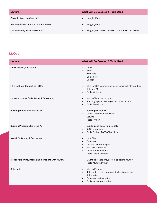| Lecture                                | <b>What Will Be Covered &amp; Tools Used</b>                    |
|----------------------------------------|-----------------------------------------------------------------|
| <b>Classification Use Cases #2</b>     | HuggingFace<br>$\bullet$                                        |
| Seq2seq Models for Machine Translation | HuggingFace<br>$\bullet$                                        |
| Differentiating Between Models         | HuggingFace: BERT, RoBERT, alberta, T5, DistilBERT<br>$\bullet$ |

#### **MLOps**

| <b>Lecture</b>                                     | <b>What Will Be Covered &amp; Tools Used</b>                                                                                                                                 |
|----------------------------------------------------|------------------------------------------------------------------------------------------------------------------------------------------------------------------------------|
| Linux, Docker, and Github                          | Linux<br>Github<br>yaml files<br>Containers<br>Docker                                                                                                                        |
| Intro to Cloud Computing (GCP)                     | Intro to GCP managed services specifically tailored for<br>$\bullet$<br>data and ML<br>Tools: Vertex Al                                                                      |
| Infrastructure as Code (IaC with Terraform)        | Intro to Terraform scripts<br>$\bullet$<br>Standing up and tearing down infrastructure<br>Tools: Terraform                                                                   |
| <b>Building Prediction Services #1</b>             | <b>Building ML models</b><br>$\bullet$<br>Offline and online prediction<br>$\bullet$<br>Serving<br>Tools: Python<br>$\bullet$                                                |
| <b>Building Prediction Services #2</b>             | Building and deploying models<br>$\bullet$<br>REST endpoints<br>Tools: Python, FASTAPI/gunicorn                                                                              |
| Model Packaging & Deployment                       | Yaml files<br>$\bullet$<br>Containers<br>Docker, Docker images<br>$\bullet$<br>Intro to Kubernetes<br>Docker run command<br>$\bullet$<br>Tools: Docker, kubectl<br>$\bullet$ |
| Model Versioning, Packaging & Tracking with MLflow | ML models, versions, project structure, MLflow<br>$\bullet$<br>Tools: MLflow, Python<br>$\bullet$                                                                            |
| Kubernetes                                         | Intro to Kubernetes<br>$\bullet$<br>Kubernetes basics, running docker images on<br>Kubernetes<br>Container orchestration<br>$\bullet$<br>Tools: Kubernetes, kubectl          |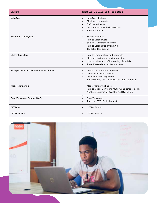| Lecture                                  | <b>What Will Be Covered &amp; Tools Used</b>                        |
|------------------------------------------|---------------------------------------------------------------------|
| Kubeflow                                 | Kubeflow pipelines<br>$\bullet$                                     |
|                                          | Pipeline components<br>$\bullet$                                    |
|                                          | DAG, experiments                                                    |
|                                          | Output artifacts and ML metadata                                    |
|                                          | Tools: Kubeflow                                                     |
| Seldon for Deployment                    | Seldon concepts<br>$\bullet$                                        |
|                                          | Intro to Seldon Core<br>$\bullet$                                   |
|                                          | Seldon ML inference servers<br>$\bullet$                            |
|                                          | Intro to Seldon Deploy and Alibi<br>$\bullet$                       |
|                                          | Tools: Seldon, kubectl                                              |
| <b>ML Feature Store</b>                  | Intro to Feature Store and Concepts<br>$\bullet$                    |
|                                          | Materializing features on feature store<br>$\bullet$                |
|                                          | Use for online and offline serving of models                        |
|                                          | Tools: Feast./Vertex AI feature store                               |
| ML Pipelines with TFX and Apache Airflow | Intro to TFX for Model Pipelines<br>$\bullet$                       |
|                                          | Comparison with Kubeflow<br>$\bullet$                               |
|                                          | <b>Orchestration using Airflow</b><br>$\bullet$                     |
|                                          | Tools: Python, TFX, Airflow/GCP Cloud Composer                      |
| <b>Model Monitoring</b>                  | <b>Model Monitoring basics</b><br>$\bullet$                         |
|                                          | Intro to Model Monitoring MLflow, and other tools like<br>$\bullet$ |
|                                          | Neptune, Sagemaker, Weights and Biases etc.                         |
| Data Versioning Control (DVC)            | Data Versioning<br>$\bullet$                                        |
|                                          | Touch on DVC, Pachyderm, etc.                                       |
|                                          |                                                                     |
| <b>CI/CD 101</b>                         | CI/CD - Github                                                      |
| CI/CD Jenkins                            | CI/CD - Jenkins                                                     |

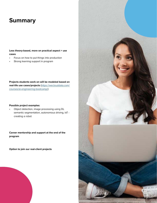## **Summary**

**Less theory-based, more on practical aspect + use cases**

- Focus on how to put things into production
- Strong learning support in program

**Projects students work on will be modeled based on real-life use cases/projects** [\(https://weclouddata.com/](https://weclouddata.com/courses/ai-engineering-bootcamp/) [courses/ai-engineering-bootcamp/\)](https://weclouddata.com/courses/ai-engineering-bootcamp/)

#### **Possible project examples:**

• Object detection, image processing using DL semantic segmentation, autonomous driving, IoT creating a robot

**Career mentorship and support at the end of the program**

**Option to join our real-client projects**



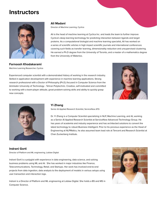## **Instructors**



#### **Farnoosh Khodakarami**

Machine Learning Researcher, Cyclica

#### **Ali Madani**

Director of Machine Learning, Cyclica

Ali is the head of machine learning at Cyclica Inc. and leads the team to further improve Cyclica's deep learning technology for predicting interaction between ligands and target proteins. As a computational biologist and machine learning specialist, Ali has worked on a series of scientific articles in high impact scientific journals and international conferences covering such fields as transfer learning, dimensionality reduction and unsupervised clustering. He earned a Ph.D degree from the University of Toronto, and a master of a mathematics degree from the University of Waterloo.

Experienced computer scientist with a demonstrated history of working in the research industry. Skilled in application development with experience in machine learning applications. Strong research professional with a Doctor of Philosophy (Ph.D.) focused in Computer Science from the Amirkabir University of Technology - Tehran Polytechnic. Creative, self-motivated and committed to working with a team-player attitude, great problem-solving skills and ability to quickly grasp new concepts.





#### **Yi Zhang**

Senior AI Applied Research Scientist, ServiceNow ATG

Dr. Yi Zhang is a Computer Scientist specializing in NLP, Machine Learning, and AI, working as a Senior AI Applied Research Scientist at ServiceNow Advanced Technology Group. He has years of academia and industry experience and has architected solutions to convert the latest technology to robust Business Intelligent. Prior to his previous experience as the Head of Engineering at NLPMatics, he also assumed team lead role at Tencent and Research Scientist at Chan Zuckerberg Institute.

#### **Indrani Gorti**

Director of Platform and ML engineering, Loblaw Digital

Indrani Gorti is a polyglot with experience in data engineering, data science, and solving business problems using ML and AI. She has worked in major industries like Finance, Telecommunications, Technology, Retail, and Startups. Her work has involved end-to-end projects from data ingestion, data analysis to the deployment of models in various setups using user transaction and interaction logs.

Indrani is a Director of Platform and ML engineering at Loblaw Digital. She holds a BS and MS in Computer Science.